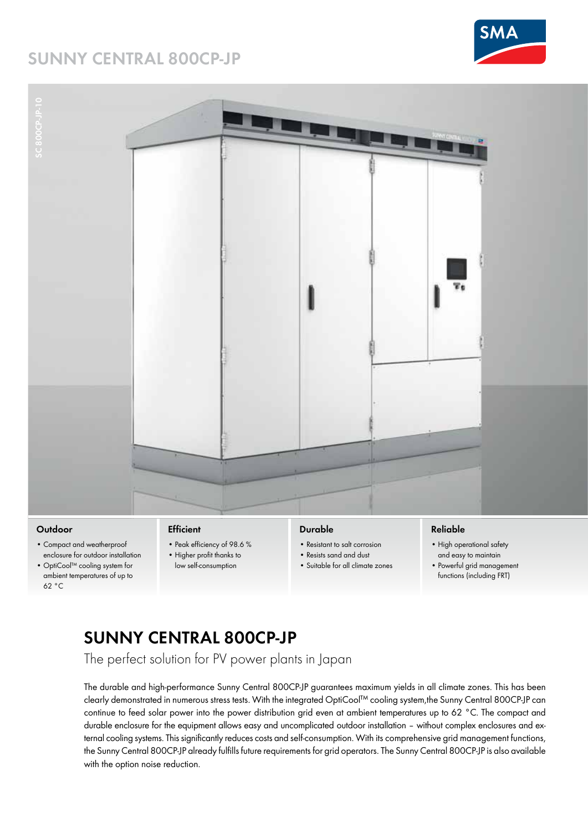### **SUNNY CENTRAL 800CP-JP**







### **Outdoor**

- Compact and weatherproof enclosure for outdoor installation
- OptiCool™ cooling system for ambient temperatures of up to 62 °C

#### **Efficient**

- Peak efficiency of 98.6 % • Higher profit thanks to
- low self-consumption

### **Durable**

- Resistant to salt corrosion
- Resists sand and dust
- Suitable for all climate zones

#### **Reliable**

- High operational safety and easy to maintain
- Powerful grid management functions (including FRT)

# **SUNNY CENTRAL 800CP-JP**

The perfect solution for PV power plants in Japan

The durable and high-performance Sunny Central 800CP-JP guarantees maximum yields in all climate zones. This has been clearly demonstrated in numerous stress tests. With the integrated OptiCool™ cooling system,the Sunny Central 800CP-JP can continue to feed solar power into the power distribution grid even at ambient temperatures up to 62 °C. The compact and durable enclosure for the equipment allows easy and uncomplicated outdoor installation – without complex enclosures and external cooling systems. This significantly reduces costs and self-consumption. With its comprehensive grid management functions, the Sunny Central 800CP-JP already fulfills future requirements for grid operators. The Sunny Central 800CP-JP is also available with the option noise reduction.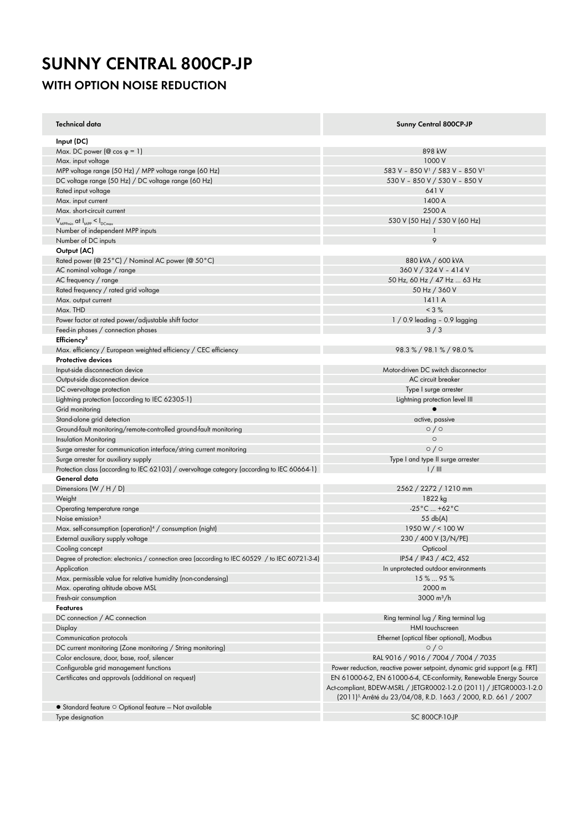# **SUNNY CENTRAL 800CP-JP**

### **WITH OPTION NOISE REDUCTION**

| Technical data                                                                                  | <b>Sunny Central 800CP-JP</b>                                                                                                                                                                                           |
|-------------------------------------------------------------------------------------------------|-------------------------------------------------------------------------------------------------------------------------------------------------------------------------------------------------------------------------|
| Input (DC)                                                                                      |                                                                                                                                                                                                                         |
| Max. DC power ( $\circledcirc$ cos $\circledcirc$ = 1)                                          | 898 kW                                                                                                                                                                                                                  |
| Max. input voltage                                                                              | 1000 V                                                                                                                                                                                                                  |
| MPP voltage range (50 Hz) / MPP voltage range (60 Hz)                                           | 583 V - 850 V <sup>1</sup> / 583 V - 850 V <sup>1</sup>                                                                                                                                                                 |
| DC voltage range (50 Hz) / DC voltage range (60 Hz)                                             | 530 V - 850 V / 530 V - 850 V                                                                                                                                                                                           |
| Rated input voltage                                                                             | 641 V                                                                                                                                                                                                                   |
| Max. input current                                                                              | 1400 A                                                                                                                                                                                                                  |
| Max. short-circuit current                                                                      | 2500 A                                                                                                                                                                                                                  |
| $V_{MPPmin}$ at $I_{MPP} < I_{DCmax}$                                                           | 530 V (50 Hz) / 530 V (60 Hz)                                                                                                                                                                                           |
| Number of independent MPP inputs                                                                | J.                                                                                                                                                                                                                      |
| Number of DC inputs                                                                             | 9                                                                                                                                                                                                                       |
| Output (AC)                                                                                     |                                                                                                                                                                                                                         |
| Rated power (@ 25 °C) / Nominal AC power (@ 50 °C)                                              | 880 kVA / 600 kVA                                                                                                                                                                                                       |
| AC nominal voltage / range                                                                      | 360 V / 324 V - 414 V                                                                                                                                                                                                   |
| AC frequency / range                                                                            | 50 Hz, 60 Hz / 47 Hz  63 Hz                                                                                                                                                                                             |
| Rated frequency / rated grid voltage                                                            | 50 Hz / 360 V                                                                                                                                                                                                           |
| Max. output current                                                                             | 1411 A                                                                                                                                                                                                                  |
| Max. THD                                                                                        | < 3 %                                                                                                                                                                                                                   |
| Power factor at rated power/adjustable shift factor                                             | $1/0.9$ leading - 0.9 lagging                                                                                                                                                                                           |
| Feed-in phases / connection phases                                                              | 3/3                                                                                                                                                                                                                     |
| Efficiency <sup>2</sup>                                                                         |                                                                                                                                                                                                                         |
| Max. efficiency / European weighted efficiency / CEC efficiency                                 | 98.3% / 98.1% / 98.0%                                                                                                                                                                                                   |
| <b>Protective devices</b>                                                                       |                                                                                                                                                                                                                         |
|                                                                                                 |                                                                                                                                                                                                                         |
| Input-side disconnection device                                                                 | Motor-driven DC switch disconnector                                                                                                                                                                                     |
| Output-side disconnection device                                                                | AC circuit breaker                                                                                                                                                                                                      |
| DC overvoltage protection                                                                       | Type I surge arrester                                                                                                                                                                                                   |
| Lightning protection (according to IEC 62305-1)                                                 | Lightning protection level III                                                                                                                                                                                          |
| Grid monitoring                                                                                 | $\bullet$                                                                                                                                                                                                               |
| Stand-alone grid detection                                                                      | active, passive                                                                                                                                                                                                         |
| Ground-fault monitoring/remote-controlled ground-fault monitoring                               | $\circ$ / $\circ$                                                                                                                                                                                                       |
| <b>Insulation Monitoring</b>                                                                    | $\circ$                                                                                                                                                                                                                 |
| Surge arrester for communication interface/string current monitoring                            | 0/0                                                                                                                                                                                                                     |
| Surge arrester for auxiliary supply                                                             | Type I and type II surge arrester                                                                                                                                                                                       |
| Protection class (according to IEC 62103) / overvoltage category (according to IEC 60664-1)     | 1/11                                                                                                                                                                                                                    |
| General data                                                                                    |                                                                                                                                                                                                                         |
| Dimensions $(W/H/D)$                                                                            | 2562 / 2272 / 1210 mm                                                                                                                                                                                                   |
| Weight                                                                                          | 1822 kg                                                                                                                                                                                                                 |
| Operating temperature range                                                                     | $-25^{\circ}$ C  +62 $^{\circ}$ C                                                                                                                                                                                       |
| Noise emission <sup>3</sup>                                                                     | $55$ db(A)                                                                                                                                                                                                              |
| Max. self-consumption (operation) <sup>4</sup> / consumption (night)                            | 1950 W $/$ < 100 W                                                                                                                                                                                                      |
| External auxiliary supply voltage                                                               | 230 / 400 V (3/N/PE)                                                                                                                                                                                                    |
| Cooling concept                                                                                 | Opticool                                                                                                                                                                                                                |
| Degree of protection: electronics / connection area (according to IEC 60529 / to IEC 60721-3-4) | IP54 / IP43 / 4C2, 4S2                                                                                                                                                                                                  |
| Application                                                                                     | In unprotected outdoor environments                                                                                                                                                                                     |
| Max. permissible value for relative humidity (non-condensing)                                   | 15%  95%                                                                                                                                                                                                                |
| Max. operating altitude above MSL                                                               | 2000 m                                                                                                                                                                                                                  |
| Fresh-air consumption                                                                           | $3000 \text{ m}^3/\text{h}$                                                                                                                                                                                             |
| <b>Features</b>                                                                                 |                                                                                                                                                                                                                         |
|                                                                                                 |                                                                                                                                                                                                                         |
| DC connection / AC connection                                                                   | Ring terminal lug / Ring terminal lug                                                                                                                                                                                   |
| Display                                                                                         | HMI touchscreen                                                                                                                                                                                                         |
| Communication protocols                                                                         | Ethernet (optical fiber optional), Modbus                                                                                                                                                                               |
| DC current monitoring (Zone monitoring / String monitoring)                                     | $\circ$ / $\circ$                                                                                                                                                                                                       |
| Color enclosure, door, base, roof, silencer                                                     | RAL 9016 / 9016 / 7004 / 7004 / 7035                                                                                                                                                                                    |
| Configurable grid management functions                                                          | Power reduction, reactive power setpoint, dynamic grid support (e.g. FRT)                                                                                                                                               |
| Certificates and approvals (additional on request)                                              | EN 61000-6-2, EN 61000-6-4, CE-conformity, Renewable Energy Source<br>Act-compliant, BDEW-MSRL / JETGR0002-1-2.0 (2011) / JETGR0003-1-2.0<br>(2011) <sup>5,</sup> Arrêté du 23/04/08, R.D. 1663 / 2000, R.D. 661 / 2007 |
| $\bullet$ Standard feature $\circ$ Optional feature - Not available                             |                                                                                                                                                                                                                         |
| Type designation                                                                                | SC 800CP-10-JP                                                                                                                                                                                                          |
|                                                                                                 |                                                                                                                                                                                                                         |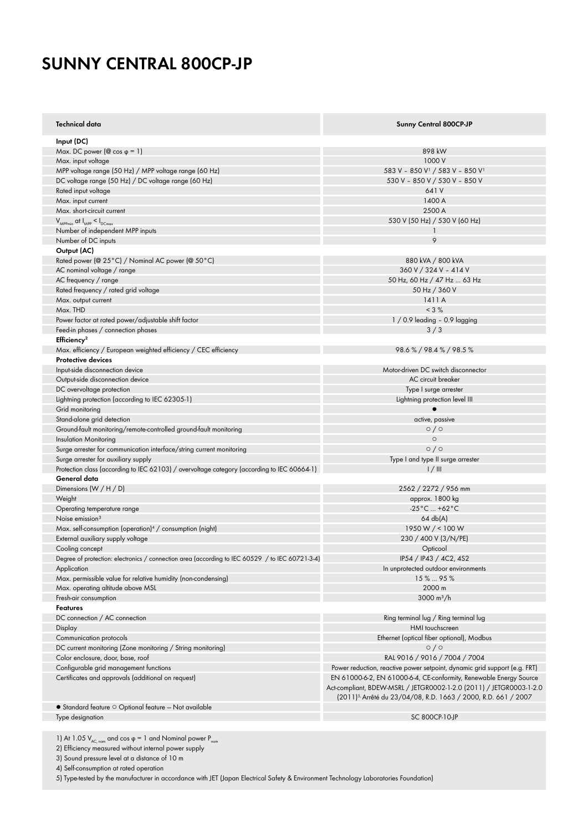## **SUNNY CENTRAL 800CP-JP**

| Technical data                                                                                  | <b>Sunny Central 800CP-JP</b>                                                                                                                                                                                           |
|-------------------------------------------------------------------------------------------------|-------------------------------------------------------------------------------------------------------------------------------------------------------------------------------------------------------------------------|
| Input (DC)                                                                                      |                                                                                                                                                                                                                         |
| Max. DC power ( $@$ cos $\varphi = 1$ )                                                         | 898 kW                                                                                                                                                                                                                  |
| Max. input voltage                                                                              | 1000 V                                                                                                                                                                                                                  |
| MPP voltage range (50 Hz) / MPP voltage range (60 Hz)                                           | 583 V - 850 V <sup>1</sup> / 583 V - 850 V <sup>1</sup>                                                                                                                                                                 |
| DC voltage range (50 Hz) / DC voltage range (60 Hz)                                             | 530 V - 850 V / 530 V - 850 V                                                                                                                                                                                           |
| Rated input voltage                                                                             | 641 V                                                                                                                                                                                                                   |
| Max. input current                                                                              | 1400 A                                                                                                                                                                                                                  |
| Max. short-circuit current                                                                      | 2500 A                                                                                                                                                                                                                  |
| $V_{\text{MPPmin}}$ at $I_{\text{MPP}} < I_{\text{DCmax}}$                                      | 530 V (50 Hz) / 530 V (60 Hz)                                                                                                                                                                                           |
| Number of independent MPP inputs                                                                | $\mathbf{1}$                                                                                                                                                                                                            |
| Number of DC inputs                                                                             | 9                                                                                                                                                                                                                       |
| Output (AC)                                                                                     |                                                                                                                                                                                                                         |
| Rated power (@ 25°C) / Nominal AC power (@ 50°C)                                                | 880 kVA / 800 kVA                                                                                                                                                                                                       |
| AC nominal voltage / range                                                                      | 360 V / 324 V - 414 V                                                                                                                                                                                                   |
| AC frequency / range                                                                            | 50 Hz, 60 Hz / 47 Hz  63 Hz                                                                                                                                                                                             |
| Rated frequency / rated grid voltage                                                            | 50 Hz / 360 V                                                                                                                                                                                                           |
| Max. output current                                                                             | 1411 A                                                                                                                                                                                                                  |
| Max. THD                                                                                        | $< 3 \%$                                                                                                                                                                                                                |
| Power factor at rated power/adjustable shift factor                                             | $1/0.9$ leading $-0.9$ lagging                                                                                                                                                                                          |
| Feed-in phases / connection phases                                                              | 3/3                                                                                                                                                                                                                     |
| Efficiency <sup>2</sup>                                                                         |                                                                                                                                                                                                                         |
| Max. efficiency / European weighted efficiency / CEC efficiency                                 | 98.6 % / 98.4 % / 98.5 %                                                                                                                                                                                                |
| Protective devices                                                                              |                                                                                                                                                                                                                         |
| Input-side disconnection device                                                                 | Motor-driven DC switch disconnector                                                                                                                                                                                     |
|                                                                                                 | AC circuit breaker                                                                                                                                                                                                      |
| Output-side disconnection device                                                                | Type I surge arrester                                                                                                                                                                                                   |
| DC overvoltage protection                                                                       |                                                                                                                                                                                                                         |
| Lightning protection (according to IEC 62305-1)                                                 | Lightning protection level III                                                                                                                                                                                          |
| Grid monitoring                                                                                 |                                                                                                                                                                                                                         |
| Stand-alone grid detection                                                                      | active, passive                                                                                                                                                                                                         |
| Ground-fault monitoring/remote-controlled ground-fault monitoring                               | $\circ$ / $\circ$                                                                                                                                                                                                       |
| <b>Insulation Monitoring</b>                                                                    | $\circ$                                                                                                                                                                                                                 |
| Surge arrester for communication interface/string current monitoring                            | $\circ$ / $\circ$                                                                                                                                                                                                       |
| Surge arrester for auxiliary supply                                                             | Type I and type II surge arrester                                                                                                                                                                                       |
| Protection class (according to IEC 62103) / overvoltage category (according to IEC 60664-1)     | 1/11                                                                                                                                                                                                                    |
| General data                                                                                    |                                                                                                                                                                                                                         |
| Dimensions $(W / H / D)$                                                                        | 2562 / 2272 / 956 mm                                                                                                                                                                                                    |
| Weight                                                                                          | approx. 1800 kg                                                                                                                                                                                                         |
| Operating temperature range                                                                     | $-25^{\circ}$ C  +62 $^{\circ}$ C                                                                                                                                                                                       |
| Noise emission <sup>3</sup>                                                                     | 64 db(A)                                                                                                                                                                                                                |
| Max. self-consumption (operation) <sup>4</sup> / consumption (night)                            | 1950 W / < 100 W                                                                                                                                                                                                        |
| External auxiliary supply voltage                                                               | 230 / 400 V (3/N/PE)                                                                                                                                                                                                    |
| Cooling concept                                                                                 | Opticool                                                                                                                                                                                                                |
| Degree of protection: electronics / connection area (according to IEC 60529 / to IEC 60721-3-4) | IP54 / IP43 / 4C2, 4S2                                                                                                                                                                                                  |
| Application                                                                                     | In unprotected outdoor environments                                                                                                                                                                                     |
| Max. permissible value for relative humidity (non-condensing)                                   | 15%95%                                                                                                                                                                                                                  |
| Max. operating altitude above MSL                                                               | 2000 m                                                                                                                                                                                                                  |
| Fresh-air consumption                                                                           | 3000 $m^3/h$                                                                                                                                                                                                            |
| Features                                                                                        |                                                                                                                                                                                                                         |
| DC connection / AC connection                                                                   | Ring terminal lug / Ring terminal lug                                                                                                                                                                                   |
| Display                                                                                         | HMI touchscreen                                                                                                                                                                                                         |
| Communication protocols                                                                         | Ethernet (optical fiber optional), Modbus                                                                                                                                                                               |
| DC current monitoring (Zone monitoring / String monitoring)                                     | $\circ$ / $\circ$                                                                                                                                                                                                       |
| Color enclosure, door, base, roof                                                               | RAL 9016 / 9016 / 7004 / 7004                                                                                                                                                                                           |
| Configurable grid management functions                                                          | Power reduction, reactive power setpoint, dynamic grid support (e.g. FRT)                                                                                                                                               |
| Certificates and approvals (additional on request)                                              | EN 61000-6-2, EN 61000-6-4, CE-conformity, Renewable Energy Source<br>Act-compliant, BDEW-MSRL / JETGR0002-1-2.0 (2011) / JETGR0003-1-2.0<br>(2011) <sup>5,</sup> Arrêté du 23/04/08, R.D. 1663 / 2000, R.D. 661 / 2007 |
| $\bullet$ Standard feature $\circ$ Optional feature - Not available                             |                                                                                                                                                                                                                         |
| Type designation                                                                                | SC 800CP-10-JP                                                                                                                                                                                                          |
|                                                                                                 |                                                                                                                                                                                                                         |

1) At 1.05  $V_{AC, nom}$  and cos φ = 1 and Nominal power  $P_{nom}$ 

2) Efficiency measured without internal power supply

3) Sound pressure level at a distance of 10 m

4) Self-consumption at rated operation

5) Type-tested by the manufacturer in accordance with JET (Japan Electrical Safety & Environment Technology Laboratories Foundation)